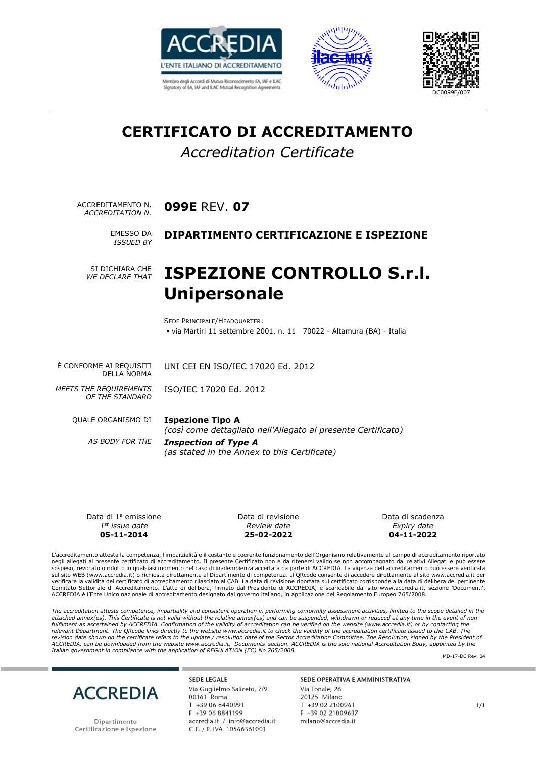





# **CERTIFICATO DI ACCREDITAMENTO**

#### *Accreditation Certificate*

ACCREDITAMENTO N. **099E** REV. **07** *ACCREDITATION N.*

*ISSUED BY*

#### EMESSO DA **DIPARTIMENTO CERTIFICAZIONE E ISPEZIONE**

SI DICHIARA CHE *WE DECLARE THAT*

### **ISPEZIONE CONTROLLO S.r.l. Unipersonale**

SEDE PRINCIPALE/HEADQUARTER: ▪ via Martiri 11 settembre 2001, n. 11 70022 - Altamura (BA) - Italia

È CONFORME AI REQUISITI DELLA NORMA UNI CEI EN ISO/IEC 17020 Ed. 2012

*MEETS THE REQUIREMENTS OF THE STANDARD*

ISO/IEC 17020 Ed. 2012

QUALE ORGANISMO DI **Ispezione Tipo A**

*(così come dettagliato nell'Allegato al presente Certificato)*

*AS BODY FOR THE Inspection of Type A (as stated in the Annex to this Certificate)*

Data di 1ª emissione *1 st issue date* **05-11-2014**

Data di revisione *Review date* **25-02-2022**

Data di scadenza *Expiry date* **04-11-2022**

L'accreditamento attesta la competenza, l'imparzialità e il costante e coerente funzionamento dell'Organismo relativamente al campo di accreditamento riportato negli allegati al presente certificato di accreditamento. Il presente Certificato non è da ritenersi valido se non accompagnato dai relativi Allegati e può essere sospeso, revocato o ridotto in qualsiasi momento nel caso di inadempienza accertata da parte di ACCREDIA. La vigenza dell'accreditamento può essere verificata<br>sul sito WEB (www.accredia.it) o richiesta direttamente al Dipa verificare la validità del certificato di accreditamento rilasciato al CAB. La data di revisione riportata sul certificato corrisponde alla data di delibera del pertinente Comitato Settoriale di Accreditamento. L'atto di delibera, firmato dal Presidente di ACCREDIA, è scaricabile dal sito www.accredia.it, sezione 'Documenti'. ACCREDIA è l'Ente Unico nazionale di accreditamento designato dal governo italiano, in applicazione del Regolamento Europeo 765/2008.

The accreditation attests competence, impartiality and consistent operation in performing conformity assessment activities, limited to the scope detailed in the *attached annex(es). This Certificate is not valid without the relative annex(es) and can be suspended, withdrawn or reduced at any time in the event of non fulfilment as ascertained by ACCREDIA. Confirmation of the validity of accreditation can be verified on the website (www.accredia.it) or by contacting the*  relevant Department. The QRcode links directly to the website www.accredia.it to check the validity of the accreditation certificate issued to the CAB. The<br>revision date shown on the certificate refers to the update / reso *ACCREDIA, can be downloaded from the website www.accredia.it, 'Documents' section. ACCREDIA is the sole national Accreditation Body, appointed by the Italian government in compliance with the application of REGULATION (EC) No 765/2008.*

MD-17-DC Rev. 04



Dipartimento Certificazione e Ispezione

**SEDE LEGALE** Via Guglielmo Saliceto, 7/9 00161 Roma T +39 06 8440991 F +39 06 8841199 accredia.it / info@accredia.it C.F. / P. IVA 10566361001

SEDE OPERATIVA E AMMINISTRATIVA

Via Tonale, 26 20125 Milano T +39 02 2100961 F +39 02 21009637 milano@accredia.it

1/1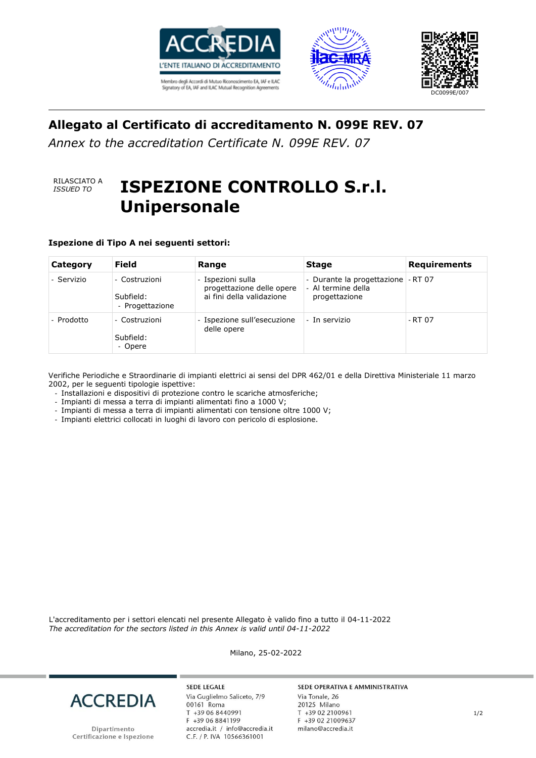





### **Allegato al Certificato di accreditamento N. 099E REV. 07**

*Annex to the accreditation Certificate N. 099E REV. 07*

# RILASCIATO A

# *ISSUED TO* **<b>ISPEZIONE CONTROLLO S.r.l. Unipersonale**

**Ispezione di Tipo A nei seguenti settori:**

| Category   | <b>Field</b>                                  | Range                                                                       | <b>Stage</b>                                                              | <b>Requirements</b> |
|------------|-----------------------------------------------|-----------------------------------------------------------------------------|---------------------------------------------------------------------------|---------------------|
| - Servizio | - Costruzioni<br>Subfield:<br>- Progettazione | - Ispezioni sulla<br>progettazione delle opere<br>ai fini della validazione | - Durante la progettazione - RT 07<br>- Al termine della<br>progettazione |                     |
| - Prodotto | - Costruzioni<br>Subfield:<br>- Opere         | - Ispezione sull'esecuzione<br>delle opere                                  | - In servizio                                                             | - RT 07             |

Verifiche Periodiche e Straordinarie di impianti elettrici ai sensi del DPR 462/01 e della Direttiva Ministeriale 11 marzo 2002, per le seguenti tipologie ispettive:

- Installazioni e dispositivi di protezione contro le scariche atmosferiche;
- Impianti di messa a terra di impianti alimentati fino a 1000 V;
- Impianti di messa a terra di impianti alimentati con tensione oltre 1000 V;
- Impianti elettrici collocati in luoghi di lavoro con pericolo di esplosione.

L'accreditamento per i settori elencati nel presente Allegato è valido fino a tutto il 04-11-2022 *The accreditation for the sectors listed in this Annex is valid until 04-11-2022*



Dipartimento Certificazione e Ispezione

**SEDE LEGALE** Via Guglielmo Saliceto, 7/9 00161 Roma T +39 06 8440991 F +39 06 8841199 accredia.it / info@accredia.it<br>C.F. / P. IVA 10566361001

Milano, 25-02-2022

#### SEDE OPERATIVA E AMMINISTRATIVA

Via Tonale, 26 20125 Milano T +39 02 2100961 F +39 02 21009637 milano@accredia.it